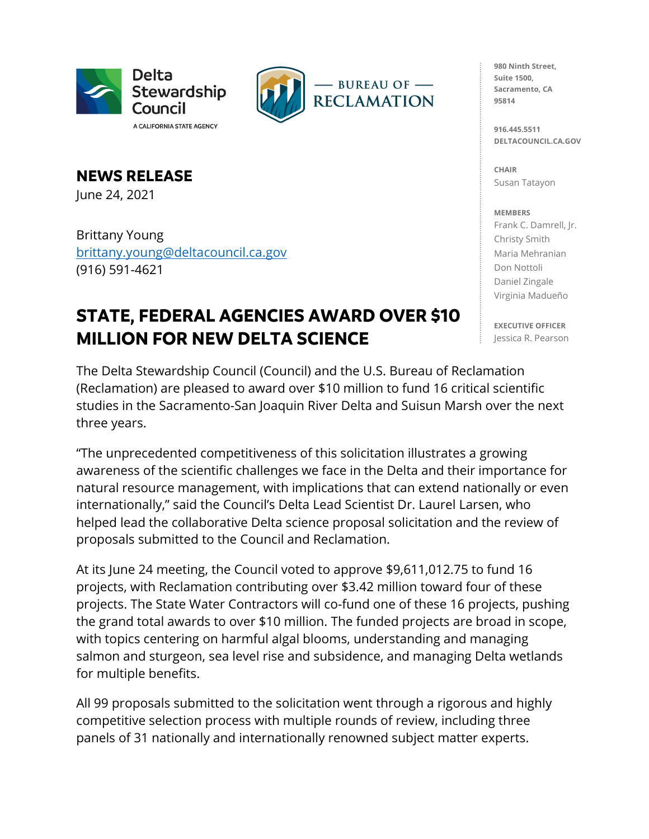



**NEWS RELEASE** June 24, 2021

Brittany Young [brittany.young@deltacouncil.ca.gov](mailto:brittany.young@deltacouncil.ca.gov)  (916) 591-4621

## **STATE, FEDERAL AGENCIES AWARD OVER \$10 MILLION FOR NEW DELTA SCIENCE**

The Delta Stewardship Council (Council) and the U.S. Bureau of Reclamation (Reclamation) are pleased to award over \$10 million to fund 16 critical scientific studies in the Sacramento-San Joaquin River Delta and Suisun Marsh over the next three years.

"The unprecedented competitiveness of this solicitation illustrates a growing awareness of the scientific challenges we face in the Delta and their importance for natural resource management, with implications that can extend nationally or even internationally," said the Council's Delta Lead Scientist Dr. Laurel Larsen, who helped lead the collaborative Delta science proposal solicitation and the review of proposals submitted to the Council and Reclamation.

At its June 24 meeting, the Council voted to approve \$9,611,012.75 to fund 16 projects, with Reclamation contributing over \$3.42 million toward four of these projects. The State Water Contractors will co-fund one of these 16 projects, pushing the grand total awards to over \$10 million. The funded projects are broad in scope, with topics centering on harmful algal blooms, understanding and managing salmon and sturgeon, sea level rise and subsidence, and managing Delta wetlands for multiple benefits.

All 99 proposals submitted to the solicitation went through a rigorous and highly competitive selection process with multiple rounds of review, including three panels of 31 nationally and internationally renowned subject matter experts.

**980 Ninth Street, Suite 1500, Sacramento, CA 95814**

**916.445.5511 DELTACOUNCIL.CA.GOV**

**CHAIR** Susan Tatayon

## **MEMBERS**

Frank C. Damrell, Jr. Christy Smith Maria Mehranian Don Nottoli Daniel Zingale Virginia Madueño

**EXECUTIVE OFFICER** Jessica R. Pearson